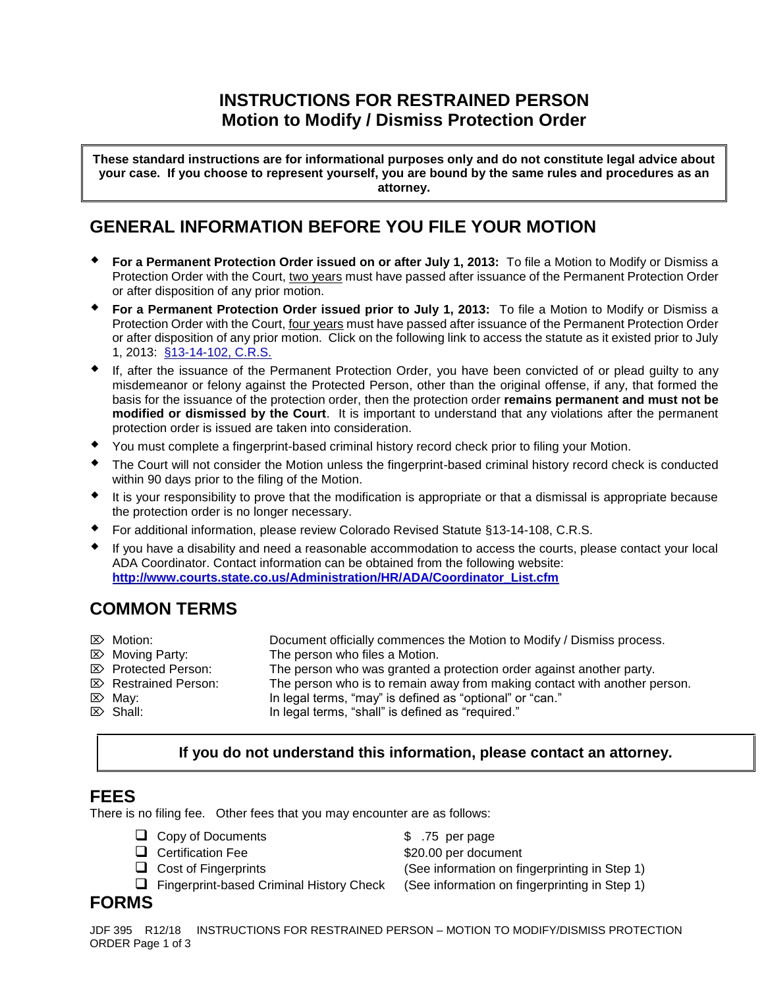# **INSTRUCTIONS FOR RESTRAINED PERSON Motion to Modify / Dismiss Protection Order**

**These standard instructions are for informational purposes only and do not constitute legal advice about your case. If you choose to represent yourself, you are bound by the same rules and procedures as an attorney.**

## **GENERAL INFORMATION BEFORE YOU FILE YOUR MOTION**

- **For a Permanent Protection Order issued on or after July 1, 2013:** To file a Motion to Modify or Dismiss a Protection Order with the Court, two years must have passed after issuance of the Permanent Protection Order or after disposition of any prior motion.
- **For a Permanent Protection Order issued prior to July 1, 2013:** To file a Motion to Modify or Dismiss a Protection Order with the Court, four years must have passed after issuance of the Permanent Protection Order or after disposition of any prior motion. Click on the following link to access the statute as it existed prior to July 1, 2013: [§13-14-102, C.R.S.](file://///judicial.local/scao/JBITS/JudicialNet/Protection%20Orders/CRS%2013-14-102%20(2012).pdf)
- If, after the issuance of the Permanent Protection Order, you have been convicted of or plead guilty to any misdemeanor or felony against the Protected Person, other than the original offense, if any, that formed the basis for the issuance of the protection order, then the protection order **remains permanent and must not be modified or dismissed by the Court**. It is important to understand that any violations after the permanent protection order is issued are taken into consideration.
- You must complete a fingerprint-based criminal history record check prior to filing your Motion.
- The Court will not consider the Motion unless the fingerprint-based criminal history record check is conducted within 90 days prior to the filing of the Motion.
- $\bullet$  It is your responsibility to prove that the modification is appropriate or that a dismissal is appropriate because the protection order is no longer necessary.
- For additional information, please review Colorado Revised Statute §13-14-108, C.R.S.
- If you have a disability and need a reasonable accommodation to access the courts, please contact your local ADA Coordinator. Contact information can be obtained from the following website: **[http://www.courts.state.co.us/Administration/HR/ADA/Coordinator\\_List.cfm](http://www.courts.state.co.us/Administration/HR/ADA/Coordinator_List.cfm)**

# **COMMON TERMS**

| $\mathbb{Z}$ Motion:            | Document officially commences the Motion to Modify / Dismiss process.     |
|---------------------------------|---------------------------------------------------------------------------|
| $\mathbb{Z}$ Moving Party:      | The person who files a Motion.                                            |
| <b>E</b> Protected Person:      | The person who was granted a protection order against another party.      |
| $\mathbb{Z}$ Restrained Person: | The person who is to remain away from making contact with another person. |
| $\mathbb{Z}$ May:               | In legal terms, "may" is defined as "optional" or "can."                  |
| $\mathbb{Z}$ Shall:             | In legal terms, "shall" is defined as "required."                         |

**If you do not understand this information, please contact an attorney.** 

## **FEES**

There is no filing fee. Other fees that you may encounter are as follows:

| $\Box$ Copy or Documents |
|--------------------------|
| $\Box$ Certification Fee |

□ Copy of Documents **\$** .75 per page \$20.00 per document Cost of Fingerprints (See information on fingerprinting in Step 1) Fingerprint-based Criminal History Check (See information on fingerprinting in Step 1)

# **FORMS**

JDF 395 R12/18 INSTRUCTIONS FOR RESTRAINED PERSON – MOTION TO MODIFY/DISMISS PROTECTION ORDER Page 1 of 3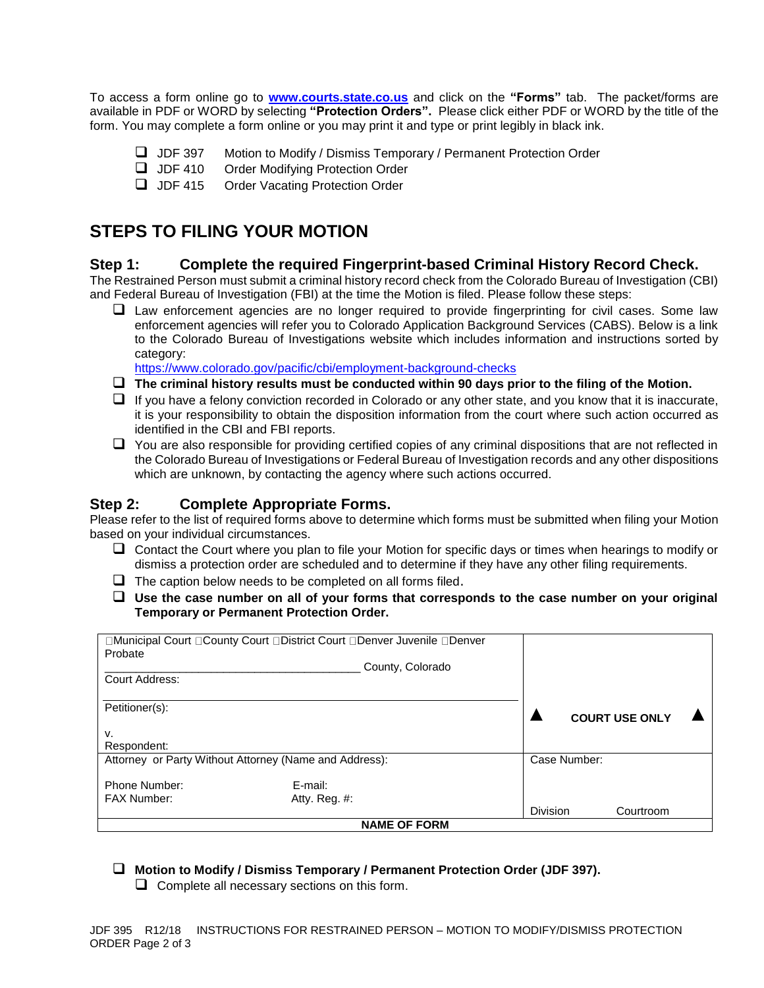To access a form online go to **[www.courts.state.co.us](http://www.courts.state.co.us/)** and click on the **"Forms"** tab. The packet/forms are available in PDF or WORD by selecting **"Protection Orders".** Please click either PDF or WORD by the title of the form. You may complete a form online or you may print it and type or print legibly in black ink.

- JDF 397 Motion to Modify / Dismiss Temporary / Permanent Protection Order
- **JDF 410** Order Modifying Protection Order
- **JDF 415** Order Vacating Protection Order

# **STEPS TO FILING YOUR MOTION**

## **Step 1: Complete the required Fingerprint-based Criminal History Record Check.**

The Restrained Person must submit a criminal history record check from the Colorado Bureau of Investigation (CBI) and Federal Bureau of Investigation (FBI) at the time the Motion is filed. Please follow these steps:

 $\Box$  Law enforcement agencies are no longer required to provide fingerprinting for civil cases. Some law enforcement agencies will refer you to Colorado Application Background Services (CABS). Below is a link to the Colorado Bureau of Investigations website which includes information and instructions sorted by category:

<https://www.colorado.gov/pacific/cbi/employment-background-checks>

- **The criminal history results must be conducted within 90 days prior to the filing of the Motion.**
- $\Box$  If you have a felony conviction recorded in Colorado or any other state, and you know that it is inaccurate, it is your responsibility to obtain the disposition information from the court where such action occurred as identified in the CBI and FBI reports.
- $\Box$  You are also responsible for providing certified copies of any criminal dispositions that are not reflected in the Colorado Bureau of Investigations or Federal Bureau of Investigation records and any other dispositions which are unknown, by contacting the agency where such actions occurred.

## **Step 2: Complete Appropriate Forms.**

Please refer to the list of required forms above to determine which forms must be submitted when filing your Motion based on your individual circumstances.

- $\Box$  Contact the Court where you plan to file your Motion for specific days or times when hearings to modify or dismiss a protection order are scheduled and to determine if they have any other filing requirements.
- $\Box$  The caption below needs to be completed on all forms filed.
- **Use the case number on all of your forms that corresponds to the case number on your original Temporary or Permanent Protection Order.**

| □Municipal Court □County Court □District Court □Denver Juvenile □Denver |               |                 |  |                       |  |  |  |
|-------------------------------------------------------------------------|---------------|-----------------|--|-----------------------|--|--|--|
| Probate<br>County, Colorado                                             |               |                 |  |                       |  |  |  |
|                                                                         |               |                 |  |                       |  |  |  |
| Court Address:                                                          |               |                 |  |                       |  |  |  |
|                                                                         |               |                 |  |                       |  |  |  |
| Petitioner(s):                                                          |               |                 |  |                       |  |  |  |
|                                                                         |               |                 |  | <b>COURT USE ONLY</b> |  |  |  |
| v.                                                                      |               |                 |  |                       |  |  |  |
| Respondent:                                                             |               |                 |  |                       |  |  |  |
| Attorney or Party Without Attorney (Name and Address):                  |               |                 |  | Case Number:          |  |  |  |
|                                                                         |               |                 |  |                       |  |  |  |
| Phone Number:                                                           | E-mail:       |                 |  |                       |  |  |  |
| <b>FAX Number:</b>                                                      | Atty. Reg. #: |                 |  |                       |  |  |  |
|                                                                         |               | <b>Division</b> |  | Courtroom             |  |  |  |
| <b>NAME OF FORM</b>                                                     |               |                 |  |                       |  |  |  |

#### **Motion to Modify / Dismiss Temporary / Permanent Protection Order (JDF 397).**

 $\Box$  Complete all necessary sections on this form.